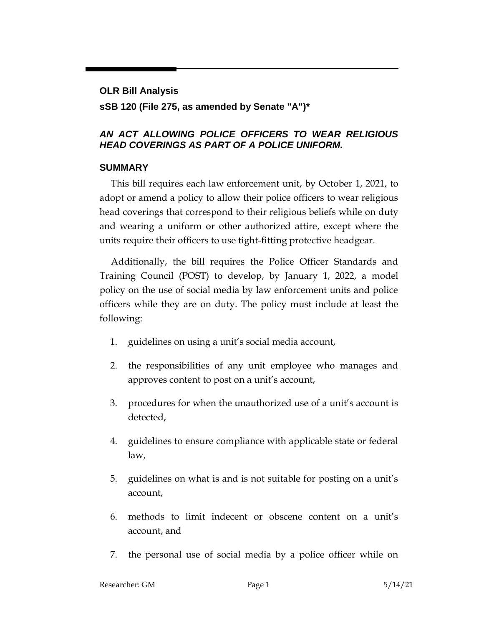# **OLR Bill Analysis sSB 120 (File 275, as amended by Senate "A")\***

### *AN ACT ALLOWING POLICE OFFICERS TO WEAR RELIGIOUS HEAD COVERINGS AS PART OF A POLICE UNIFORM.*

#### **SUMMARY**

This bill requires each law enforcement unit, by October 1, 2021, to adopt or amend a policy to allow their police officers to wear religious head coverings that correspond to their religious beliefs while on duty and wearing a uniform or other authorized attire, except where the units require their officers to use tight-fitting protective headgear.

Additionally, the bill requires the Police Officer Standards and Training Council (POST) to develop, by January 1, 2022, a model policy on the use of social media by law enforcement units and police officers while they are on duty. The policy must include at least the following:

- 1. guidelines on using a unit's social media account,
- 2. the responsibilities of any unit employee who manages and approves content to post on a unit's account,
- 3. procedures for when the unauthorized use of a unit's account is detected,
- 4. guidelines to ensure compliance with applicable state or federal law,
- 5. guidelines on what is and is not suitable for posting on a unit's account,
- 6. methods to limit indecent or obscene content on a unit's account, and
- 7. the personal use of social media by a police officer while on